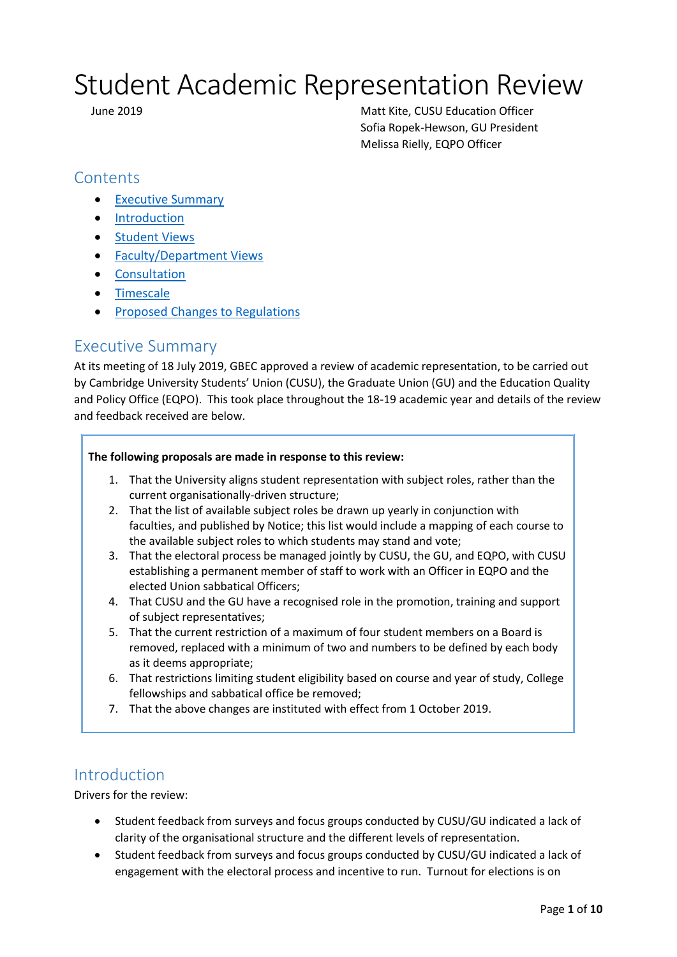# Student Academic Representation Review

 June 2019 Matt Kite, CUSU Education Officer Sofia Ropek-Hewson, GU President Melissa Rielly, EQPO Officer

# **Contents**

- [Executive Summary](#page-0-0)
- [Introduction](#page-0-1)
- **•** [Student Views](#page-1-0)
- [Faculty/Department Views](#page-2-0)
- **•** [Consultation](#page-4-0)
- [Timescale](#page-8-0)
- [Proposed Changes to Regulations](#page-8-1)

## <span id="page-0-0"></span>Executive Summary

At its meeting of 18 July 2019, GBEC approved a review of academic representation, to be carried out by Cambridge University Students' Union (CUSU), the Graduate Union (GU) and the Education Quality and Policy Office (EQPO). This took place throughout the 18-19 academic year and details of the review and feedback received are below.

### **The following proposals are made in response to this review:**

- 1. That the University aligns student representation with subject roles, rather than the current organisationally-driven structure;
- 2. That the list of available subject roles be drawn up yearly in conjunction with faculties, and published by Notice; this list would include a mapping of each course to the available subject roles to which students may stand and vote;
- 3. That the electoral process be managed jointly by CUSU, the GU, and EQPO, with CUSU establishing a permanent member of staff to work with an Officer in EQPO and the elected Union sabbatical Officers;
- 4. That CUSU and the GU have a recognised role in the promotion, training and support of subject representatives;
- 5. That the current restriction of a maximum of four student members on a Board is removed, replaced with a minimum of two and numbers to be defined by each body as it deems appropriate;
- 6. That restrictions limiting student eligibility based on course and year of study, College fellowships and sabbatical office be removed;
- 7. That the above changes are instituted with effect from 1 October 2019.

# <span id="page-0-1"></span>Introduction

Drivers for the review:

- Student feedback from surveys and focus groups conducted by CUSU/GU indicated a lack of clarity of the organisational structure and the different levels of representation.
- Student feedback from surveys and focus groups conducted by CUSU/GU indicated a lack of engagement with the electoral process and incentive to run. Turnout for elections is on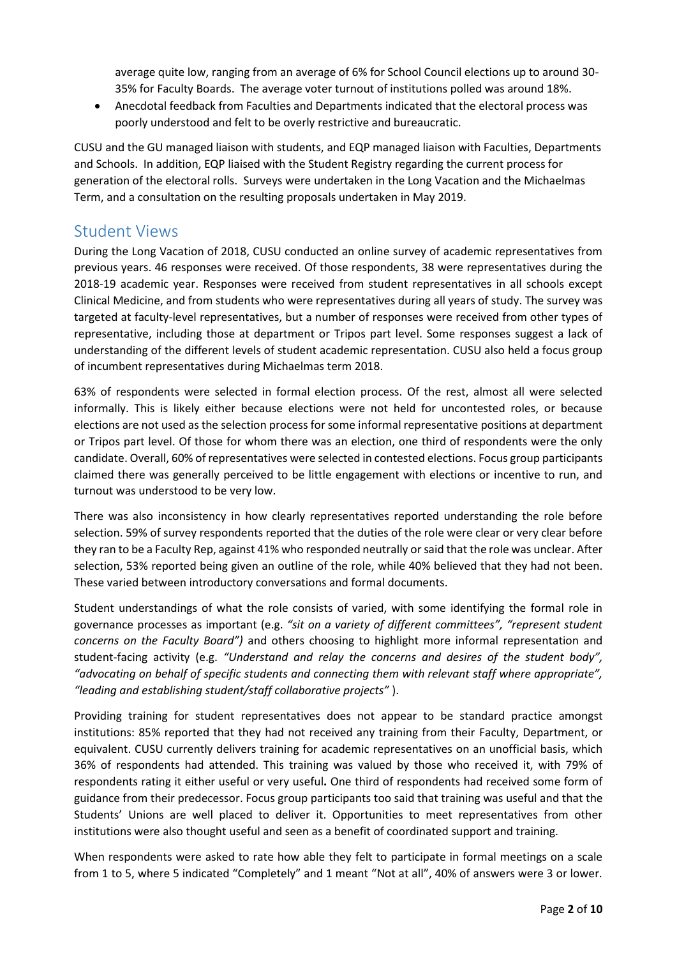average quite low, ranging from an average of 6% for School Council elections up to around 30- 35% for Faculty Boards. The average voter turnout of institutions polled was around 18%.

 Anecdotal feedback from Faculties and Departments indicated that the electoral process was poorly understood and felt to be overly restrictive and bureaucratic.

CUSU and the GU managed liaison with students, and EQP managed liaison with Faculties, Departments and Schools. In addition, EQP liaised with the Student Registry regarding the current process for generation of the electoral rolls. Surveys were undertaken in the Long Vacation and the Michaelmas Term, and a consultation on the resulting proposals undertaken in May 2019.

## <span id="page-1-0"></span>Student Views

During the Long Vacation of 2018, CUSU conducted an online survey of academic representatives from previous years. 46 responses were received. Of those respondents, 38 were representatives during the 2018-19 academic year. Responses were received from student representatives in all schools except Clinical Medicine, and from students who were representatives during all years of study. The survey was targeted at faculty-level representatives, but a number of responses were received from other types of representative, including those at department or Tripos part level. Some responses suggest a lack of understanding of the different levels of student academic representation. CUSU also held a focus group of incumbent representatives during Michaelmas term 2018.

63% of respondents were selected in formal election process. Of the rest, almost all were selected informally. This is likely either because elections were not held for uncontested roles, or because elections are not used as the selection process for some informal representative positions at department or Tripos part level. Of those for whom there was an election, one third of respondents were the only candidate. Overall, 60% of representatives were selected in contested elections. Focus group participants claimed there was generally perceived to be little engagement with elections or incentive to run, and turnout was understood to be very low.

There was also inconsistency in how clearly representatives reported understanding the role before selection. 59% of survey respondents reported that the duties of the role were clear or very clear before they ran to be a Faculty Rep, against 41% who responded neutrally or said that the role was unclear. After selection, 53% reported being given an outline of the role, while 40% believed that they had not been. These varied between introductory conversations and formal documents.

Student understandings of what the role consists of varied, with some identifying the formal role in governance processes as important (e.g. *"sit on a variety of different committees", "represent student concerns on the Faculty Board")* and others choosing to highlight more informal representation and student-facing activity (e.g. *"Understand and relay the concerns and desires of the student body", "advocating on behalf of specific students and connecting them with relevant staff where appropriate", "leading and establishing student/staff collaborative projects"* ).

Providing training for student representatives does not appear to be standard practice amongst institutions: 85% reported that they had not received any training from their Faculty, Department, or equivalent. CUSU currently delivers training for academic representatives on an unofficial basis, which 36% of respondents had attended. This training was valued by those who received it, with 79% of respondents rating it either useful or very useful**.** One third of respondents had received some form of guidance from their predecessor. Focus group participants too said that training was useful and that the Students' Unions are well placed to deliver it. Opportunities to meet representatives from other institutions were also thought useful and seen as a benefit of coordinated support and training.

When respondents were asked to rate how able they felt to participate in formal meetings on a scale from 1 to 5, where 5 indicated "Completely" and 1 meant "Not at all", 40% of answers were 3 or lower.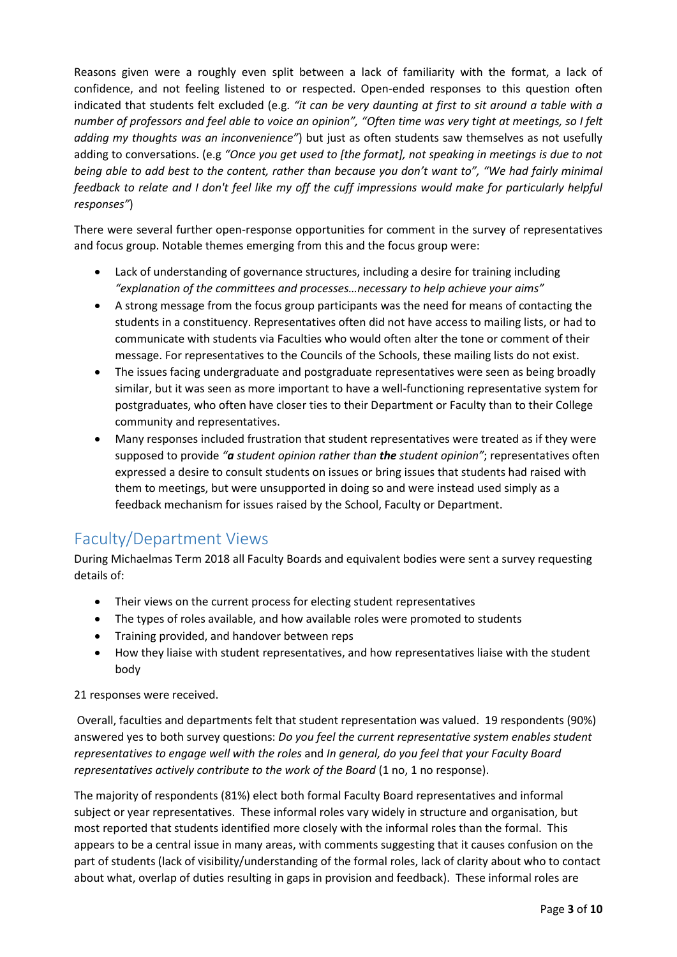Reasons given were a roughly even split between a lack of familiarity with the format, a lack of confidence, and not feeling listened to or respected. Open-ended responses to this question often indicated that students felt excluded (e.g. *"it can be very daunting at first to sit around a table with a number of professors and feel able to voice an opinion", "Often time was very tight at meetings, so I felt adding my thoughts was an inconvenience"*) but just as often students saw themselves as not usefully adding to conversations. (e.g *"Once you get used to [the format], not speaking in meetings is due to not being able to add best to the content, rather than because you don't want to", "We had fairly minimal feedback to relate and I don't feel like my off the cuff impressions would make for particularly helpful responses"*)

There were several further open-response opportunities for comment in the survey of representatives and focus group. Notable themes emerging from this and the focus group were:

- Lack of understanding of governance structures, including a desire for training including *"explanation of the committees and processes…necessary to help achieve your aims"*
- A strong message from the focus group participants was the need for means of contacting the students in a constituency. Representatives often did not have access to mailing lists, or had to communicate with students via Faculties who would often alter the tone or comment of their message. For representatives to the Councils of the Schools, these mailing lists do not exist.
- The issues facing undergraduate and postgraduate representatives were seen as being broadly similar, but it was seen as more important to have a well-functioning representative system for postgraduates, who often have closer ties to their Department or Faculty than to their College community and representatives.
- Many responses included frustration that student representatives were treated as if they were supposed to provide *"a student opinion rather than the student opinion"*; representatives often expressed a desire to consult students on issues or bring issues that students had raised with them to meetings, but were unsupported in doing so and were instead used simply as a feedback mechanism for issues raised by the School, Faculty or Department.

# <span id="page-2-0"></span>Faculty/Department Views

During Michaelmas Term 2018 all Faculty Boards and equivalent bodies were sent a survey requesting details of:

- Their views on the current process for electing student representatives
- The types of roles available, and how available roles were promoted to students
- Training provided, and handover between reps
- How they liaise with student representatives, and how representatives liaise with the student body

21 responses were received.

Overall, faculties and departments felt that student representation was valued. 19 respondents (90%) answered yes to both survey questions: *Do you feel the current representative system enables student representatives to engage well with the roles* and *In general, do you feel that your Faculty Board representatives actively contribute to the work of the Board* (1 no, 1 no response).

The majority of respondents (81%) elect both formal Faculty Board representatives and informal subject or year representatives. These informal roles vary widely in structure and organisation, but most reported that students identified more closely with the informal roles than the formal. This appears to be a central issue in many areas, with comments suggesting that it causes confusion on the part of students (lack of visibility/understanding of the formal roles, lack of clarity about who to contact about what, overlap of duties resulting in gaps in provision and feedback). These informal roles are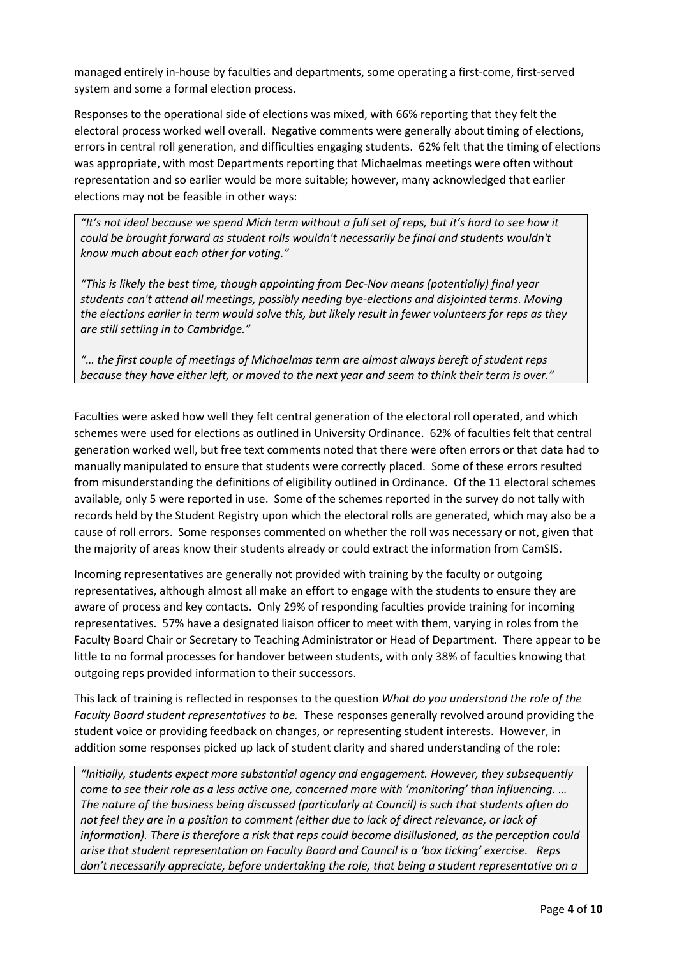managed entirely in-house by faculties and departments, some operating a first-come, first-served system and some a formal election process.

Responses to the operational side of elections was mixed, with 66% reporting that they felt the electoral process worked well overall. Negative comments were generally about timing of elections, errors in central roll generation, and difficulties engaging students. 62% felt that the timing of elections was appropriate, with most Departments reporting that Michaelmas meetings were often without representation and so earlier would be more suitable; however, many acknowledged that earlier elections may not be feasible in other ways:

*"It's not ideal because we spend Mich term without a full set of reps, but it's hard to see how it could be brought forward as student rolls wouldn't necessarily be final and students wouldn't know much about each other for voting."*

*"This is likely the best time, though appointing from Dec-Nov means (potentially) final year students can't attend all meetings, possibly needing bye-elections and disjointed terms. Moving the elections earlier in term would solve this, but likely result in fewer volunteers for reps as they are still settling in to Cambridge."*

*"… the first couple of meetings of Michaelmas term are almost always bereft of student reps because they have either left, or moved to the next year and seem to think their term is over."*

Faculties were asked how well they felt central generation of the electoral roll operated, and which schemes were used for elections as outlined in University Ordinance. 62% of faculties felt that central generation worked well, but free text comments noted that there were often errors or that data had to manually manipulated to ensure that students were correctly placed. Some of these errors resulted from misunderstanding the definitions of eligibility outlined in Ordinance. Of the 11 electoral schemes available, only 5 were reported in use. Some of the schemes reported in the survey do not tally with records held by the Student Registry upon which the electoral rolls are generated, which may also be a cause of roll errors. Some responses commented on whether the roll was necessary or not, given that the majority of areas know their students already or could extract the information from CamSIS.

Incoming representatives are generally not provided with training by the faculty or outgoing representatives, although almost all make an effort to engage with the students to ensure they are aware of process and key contacts. Only 29% of responding faculties provide training for incoming representatives. 57% have a designated liaison officer to meet with them, varying in roles from the Faculty Board Chair or Secretary to Teaching Administrator or Head of Department. There appear to be little to no formal processes for handover between students, with only 38% of faculties knowing that outgoing reps provided information to their successors.

This lack of training is reflected in responses to the question *What do you understand the role of the Faculty Board student representatives to be.* These responses generally revolved around providing the student voice or providing feedback on changes, or representing student interests. However, in addition some responses picked up lack of student clarity and shared understanding of the role:

*"Initially, students expect more substantial agency and engagement. However, they subsequently come to see their role as a less active one, concerned more with 'monitoring' than influencing. … The nature of the business being discussed (particularly at Council) is such that students often do not feel they are in a position to comment (either due to lack of direct relevance, or lack of information). There is therefore a risk that reps could become disillusioned, as the perception could arise that student representation on Faculty Board and Council is a 'box ticking' exercise. Reps don't necessarily appreciate, before undertaking the role, that being a student representative on a*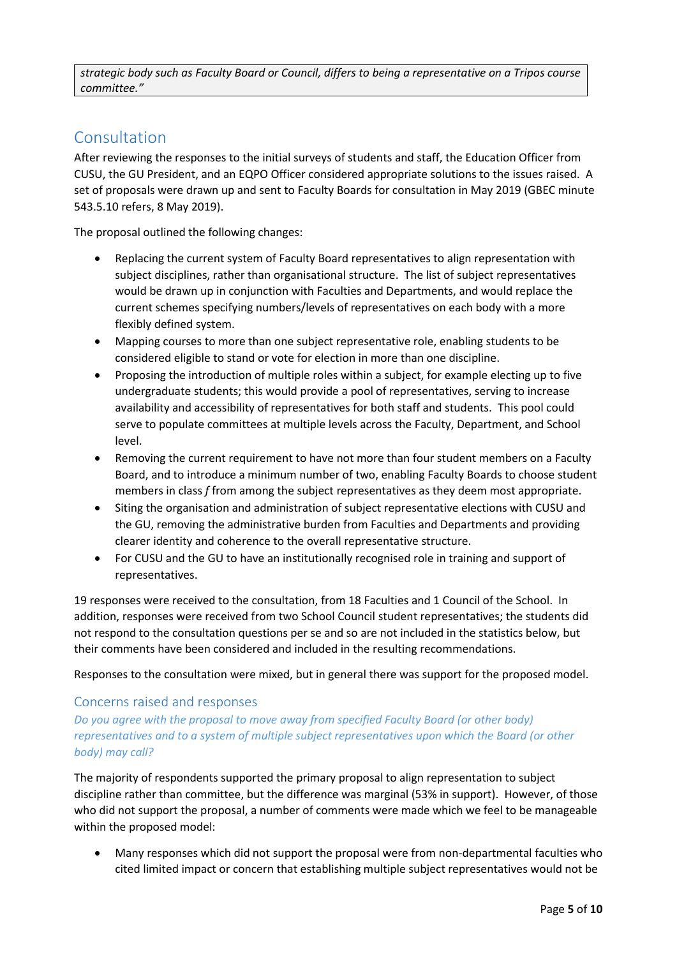*strategic body such as Faculty Board or Council, differs to being a representative on a Tripos course committee."*

# <span id="page-4-0"></span>Consultation

After reviewing the responses to the initial surveys of students and staff, the Education Officer from CUSU, the GU President, and an EQPO Officer considered appropriate solutions to the issues raised. A set of proposals were drawn up and sent to Faculty Boards for consultation in May 2019 (GBEC minute 543.5.10 refers, 8 May 2019).

The proposal outlined the following changes:

- Replacing the current system of Faculty Board representatives to align representation with subject disciplines, rather than organisational structure. The list of subject representatives would be drawn up in conjunction with Faculties and Departments, and would replace the current schemes specifying numbers/levels of representatives on each body with a more flexibly defined system.
- Mapping courses to more than one subject representative role, enabling students to be considered eligible to stand or vote for election in more than one discipline.
- Proposing the introduction of multiple roles within a subject, for example electing up to five undergraduate students; this would provide a pool of representatives, serving to increase availability and accessibility of representatives for both staff and students. This pool could serve to populate committees at multiple levels across the Faculty, Department, and School level.
- Removing the current requirement to have not more than four student members on a Faculty Board, and to introduce a minimum number of two, enabling Faculty Boards to choose student members in class *f* from among the subject representatives as they deem most appropriate.
- Siting the organisation and administration of subject representative elections with CUSU and the GU, removing the administrative burden from Faculties and Departments and providing clearer identity and coherence to the overall representative structure.
- For CUSU and the GU to have an institutionally recognised role in training and support of representatives.

19 responses were received to the consultation, from 18 Faculties and 1 Council of the School. In addition, responses were received from two School Council student representatives; the students did not respond to the consultation questions per se and so are not included in the statistics below, but their comments have been considered and included in the resulting recommendations.

Responses to the consultation were mixed, but in general there was support for the proposed model.

### Concerns raised and responses

*Do you agree with the proposal to move away from specified Faculty Board (or other body) representatives and to a system of multiple subject representatives upon which the Board (or other body) may call?* 

The majority of respondents supported the primary proposal to align representation to subject discipline rather than committee, but the difference was marginal (53% in support). However, of those who did not support the proposal, a number of comments were made which we feel to be manageable within the proposed model:

 Many responses which did not support the proposal were from non-departmental faculties who cited limited impact or concern that establishing multiple subject representatives would not be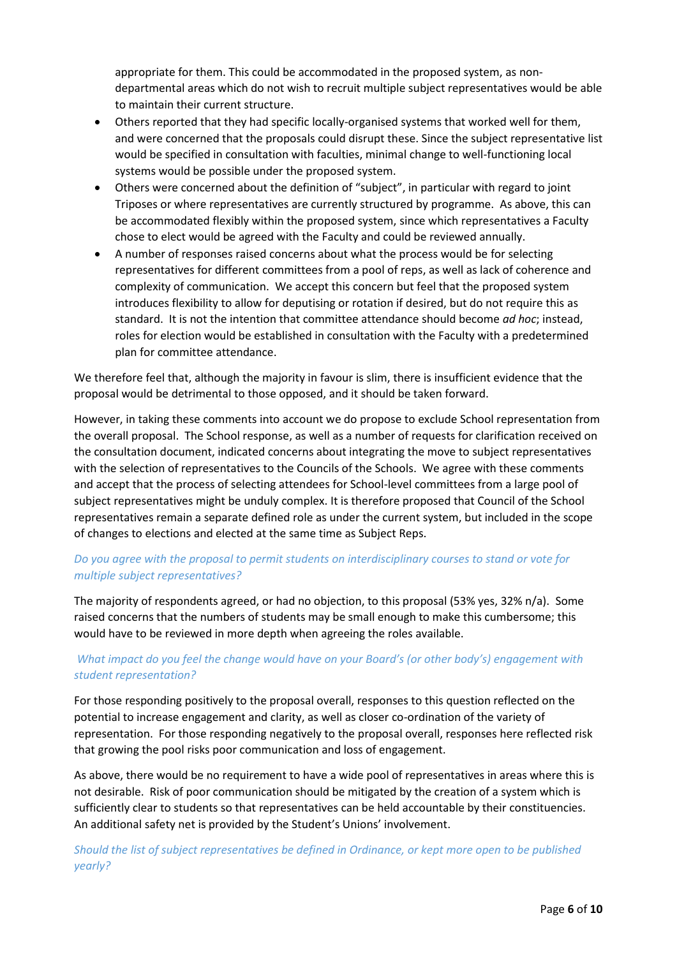appropriate for them. This could be accommodated in the proposed system, as nondepartmental areas which do not wish to recruit multiple subject representatives would be able to maintain their current structure.

- Others reported that they had specific locally-organised systems that worked well for them, and were concerned that the proposals could disrupt these. Since the subject representative list would be specified in consultation with faculties, minimal change to well-functioning local systems would be possible under the proposed system.
- Others were concerned about the definition of "subject", in particular with regard to joint Triposes or where representatives are currently structured by programme. As above, this can be accommodated flexibly within the proposed system, since which representatives a Faculty chose to elect would be agreed with the Faculty and could be reviewed annually.
- A number of responses raised concerns about what the process would be for selecting representatives for different committees from a pool of reps, as well as lack of coherence and complexity of communication. We accept this concern but feel that the proposed system introduces flexibility to allow for deputising or rotation if desired, but do not require this as standard. It is not the intention that committee attendance should become *ad hoc*; instead, roles for election would be established in consultation with the Faculty with a predetermined plan for committee attendance.

We therefore feel that, although the majority in favour is slim, there is insufficient evidence that the proposal would be detrimental to those opposed, and it should be taken forward.

However, in taking these comments into account we do propose to exclude School representation from the overall proposal. The School response, as well as a number of requests for clarification received on the consultation document, indicated concerns about integrating the move to subject representatives with the selection of representatives to the Councils of the Schools. We agree with these comments and accept that the process of selecting attendees for School-level committees from a large pool of subject representatives might be unduly complex. It is therefore proposed that Council of the School representatives remain a separate defined role as under the current system, but included in the scope of changes to elections and elected at the same time as Subject Reps.

## *Do you agree with the proposal to permit students on interdisciplinary courses to stand or vote for multiple subject representatives?*

The majority of respondents agreed, or had no objection, to this proposal (53% yes, 32% n/a). Some raised concerns that the numbers of students may be small enough to make this cumbersome; this would have to be reviewed in more depth when agreeing the roles available.

## *What impact do you feel the change would have on your Board's (or other body's) engagement with student representation?*

For those responding positively to the proposal overall, responses to this question reflected on the potential to increase engagement and clarity, as well as closer co-ordination of the variety of representation. For those responding negatively to the proposal overall, responses here reflected risk that growing the pool risks poor communication and loss of engagement.

As above, there would be no requirement to have a wide pool of representatives in areas where this is not desirable. Risk of poor communication should be mitigated by the creation of a system which is sufficiently clear to students so that representatives can be held accountable by their constituencies. An additional safety net is provided by the Student's Unions' involvement.

*Should the list of subject representatives be defined in Ordinance, or kept more open to be published yearly?*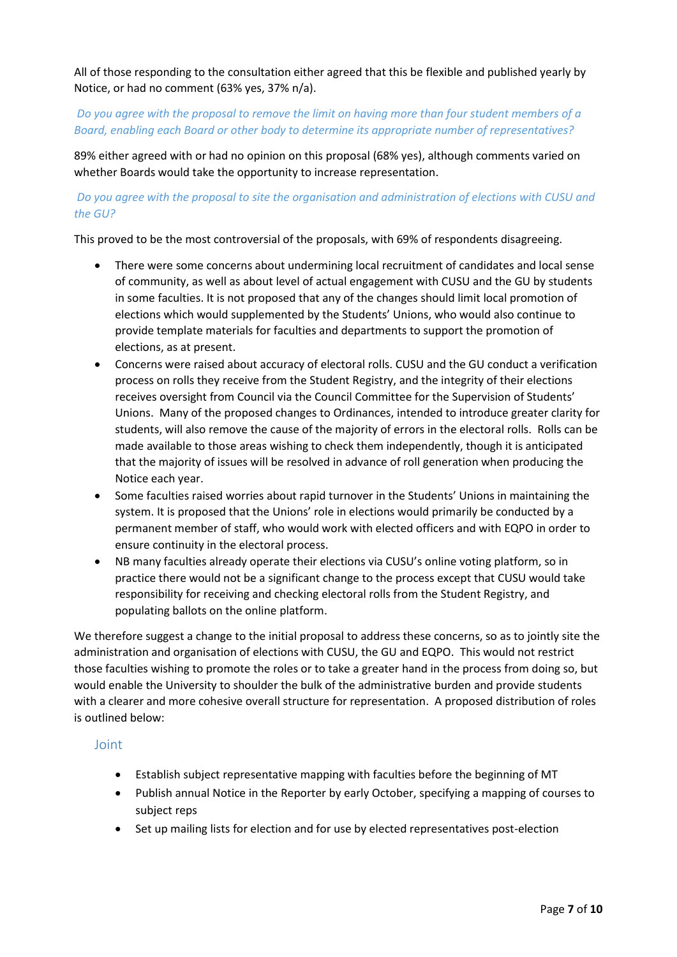All of those responding to the consultation either agreed that this be flexible and published yearly by Notice, or had no comment (63% yes, 37% n/a).

## *Do you agree with the proposal to remove the limit on having more than four student members of a Board, enabling each Board or other body to determine its appropriate number of representatives?*

89% either agreed with or had no opinion on this proposal (68% yes), although comments varied on whether Boards would take the opportunity to increase representation.

## *Do you agree with the proposal to site the organisation and administration of elections with CUSU and the GU?*

This proved to be the most controversial of the proposals, with 69% of respondents disagreeing.

- There were some concerns about undermining local recruitment of candidates and local sense of community, as well as about level of actual engagement with CUSU and the GU by students in some faculties. It is not proposed that any of the changes should limit local promotion of elections which would supplemented by the Students' Unions, who would also continue to provide template materials for faculties and departments to support the promotion of elections, as at present.
- Concerns were raised about accuracy of electoral rolls. CUSU and the GU conduct a verification process on rolls they receive from the Student Registry, and the integrity of their elections receives oversight from Council via the Council Committee for the Supervision of Students' Unions. Many of the proposed changes to Ordinances, intended to introduce greater clarity for students, will also remove the cause of the majority of errors in the electoral rolls. Rolls can be made available to those areas wishing to check them independently, though it is anticipated that the majority of issues will be resolved in advance of roll generation when producing the Notice each year.
- Some faculties raised worries about rapid turnover in the Students' Unions in maintaining the system. It is proposed that the Unions' role in elections would primarily be conducted by a permanent member of staff, who would work with elected officers and with EQPO in order to ensure continuity in the electoral process.
- NB many faculties already operate their elections via CUSU's online voting platform, so in practice there would not be a significant change to the process except that CUSU would take responsibility for receiving and checking electoral rolls from the Student Registry, and populating ballots on the online platform.

We therefore suggest a change to the initial proposal to address these concerns, so as to jointly site the administration and organisation of elections with CUSU, the GU and EQPO. This would not restrict those faculties wishing to promote the roles or to take a greater hand in the process from doing so, but would enable the University to shoulder the bulk of the administrative burden and provide students with a clearer and more cohesive overall structure for representation. A proposed distribution of roles is outlined below:

### Joint

- Establish subject representative mapping with faculties before the beginning of MT
- Publish annual Notice in the Reporter by early October, specifying a mapping of courses to subject reps
- Set up mailing lists for election and for use by elected representatives post-election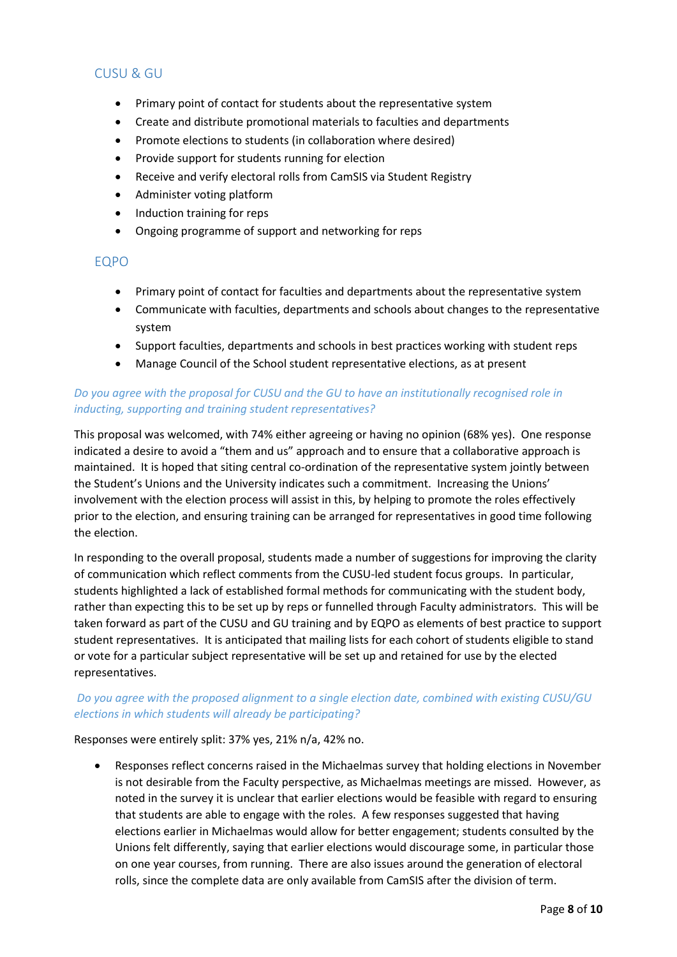## CUSU & GU

- Primary point of contact for students about the representative system
- Create and distribute promotional materials to faculties and departments
- Promote elections to students (in collaboration where desired)
- Provide support for students running for election
- Receive and verify electoral rolls from CamSIS via Student Registry
- Administer voting platform
- Induction training for reps
- Ongoing programme of support and networking for reps

#### EQPO

- Primary point of contact for faculties and departments about the representative system
- Communicate with faculties, departments and schools about changes to the representative system
- Support faculties, departments and schools in best practices working with student reps
- Manage Council of the School student representative elections, as at present

### *Do you agree with the proposal for CUSU and the GU to have an institutionally recognised role in inducting, supporting and training student representatives?*

This proposal was welcomed, with 74% either agreeing or having no opinion (68% yes). One response indicated a desire to avoid a "them and us" approach and to ensure that a collaborative approach is maintained. It is hoped that siting central co-ordination of the representative system jointly between the Student's Unions and the University indicates such a commitment. Increasing the Unions' involvement with the election process will assist in this, by helping to promote the roles effectively prior to the election, and ensuring training can be arranged for representatives in good time following the election.

In responding to the overall proposal, students made a number of suggestions for improving the clarity of communication which reflect comments from the CUSU-led student focus groups. In particular, students highlighted a lack of established formal methods for communicating with the student body, rather than expecting this to be set up by reps or funnelled through Faculty administrators. This will be taken forward as part of the CUSU and GU training and by EQPO as elements of best practice to support student representatives. It is anticipated that mailing lists for each cohort of students eligible to stand or vote for a particular subject representative will be set up and retained for use by the elected representatives.

### *Do you agree with the proposed alignment to a single election date, combined with existing CUSU/GU elections in which students will already be participating?*

Responses were entirely split: 37% yes, 21% n/a, 42% no.

 Responses reflect concerns raised in the Michaelmas survey that holding elections in November is not desirable from the Faculty perspective, as Michaelmas meetings are missed. However, as noted in the survey it is unclear that earlier elections would be feasible with regard to ensuring that students are able to engage with the roles. A few responses suggested that having elections earlier in Michaelmas would allow for better engagement; students consulted by the Unions felt differently, saying that earlier elections would discourage some, in particular those on one year courses, from running. There are also issues around the generation of electoral rolls, since the complete data are only available from CamSIS after the division of term.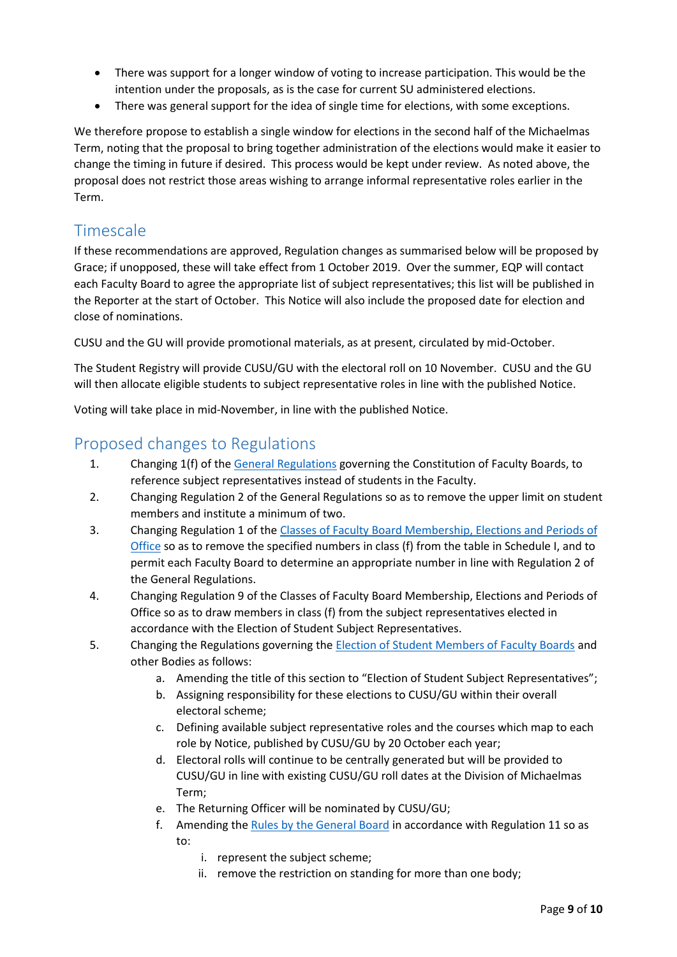- There was support for a longer window of voting to increase participation. This would be the intention under the proposals, as is the case for current SU administered elections.
- There was general support for the idea of single time for elections, with some exceptions.

We therefore propose to establish a single window for elections in the second half of the Michaelmas Term, noting that the proposal to bring together administration of the elections would make it easier to change the timing in future if desired. This process would be kept under review. As noted above, the proposal does not restrict those areas wishing to arrange informal representative roles earlier in the Term.

# <span id="page-8-0"></span>**Timescale**

If these recommendations are approved, Regulation changes as summarised below will be proposed by Grace; if unopposed, these will take effect from 1 October 2019. Over the summer, EQP will contact each Faculty Board to agree the appropriate list of subject representatives; this list will be published in the Reporter at the start of October. This Notice will also include the proposed date for election and close of nominations.

CUSU and the GU will provide promotional materials, as at present, circulated by mid-October.

The Student Registry will provide CUSU/GU with the electoral roll on 10 November. CUSU and the GU will then allocate eligible students to subject representative roles in line with the published Notice.

Voting will take place in mid-November, in line with the published Notice.

## <span id="page-8-1"></span>Proposed changes to Regulations

- 1. Changing 1(f) of the [General Regulations](https://www.admin.cam.ac.uk/univ/so/2018/chapter09-section3.html#genregs) governing the Constitution of Faculty Boards, to reference subject representatives instead of students in the Faculty.
- 2. Changing Regulation 2 of the General Regulations so as to remove the upper limit on student members and institute a minimum of two.
- 3. Changing Regulation 1 of the [Classes of Faculty Board Membership, Elections and Periods of](https://www.admin.cam.ac.uk/univ/so/2018/chapter09-section3.html#heading2-1)  [Office](https://www.admin.cam.ac.uk/univ/so/2018/chapter09-section3.html#heading2-1) so as to remove the specified numbers in class (f) from the table in Schedule I, and to permit each Faculty Board to determine an appropriate number in line with Regulation 2 of the General Regulations.
- 4. Changing Regulation 9 of the Classes of Faculty Board Membership, Elections and Periods of Office so as to draw members in class (f) from the subject representatives elected in accordance with the Election of Student Subject Representatives.
- 5. Changing the Regulations governing the [Election of Student Members of Faculty Boards](https://www.admin.cam.ac.uk/univ/so/2018/chapter09-section3.html#heading2-2) and other Bodies as follows:
	- a. Amending the title of this section to "Election of Student Subject Representatives";
	- b. Assigning responsibility for these elections to CUSU/GU within their overall electoral scheme;
	- c. Defining available subject representative roles and the courses which map to each role by Notice, published by CUSU/GU by 20 October each year;
	- d. Electoral rolls will continue to be centrally generated but will be provided to CUSU/GU in line with existing CUSU/GU roll dates at the Division of Michaelmas Term;
	- e. The Returning Officer will be nominated by CUSU/GU;
	- f. Amending the [Rules by the General Board](https://www.admin.cam.ac.uk/univ/so/2018/chapter09-section3.html#heading3-6) in accordance with Regulation 11 so as to:
		- i. represent the subject scheme;
		- ii. remove the restriction on standing for more than one body;